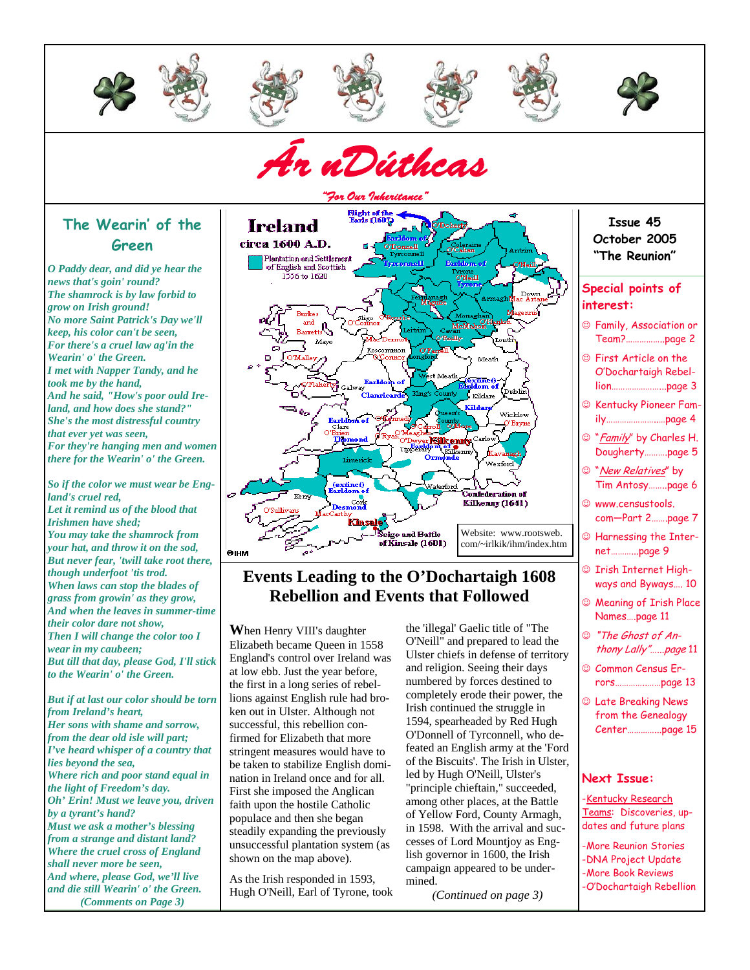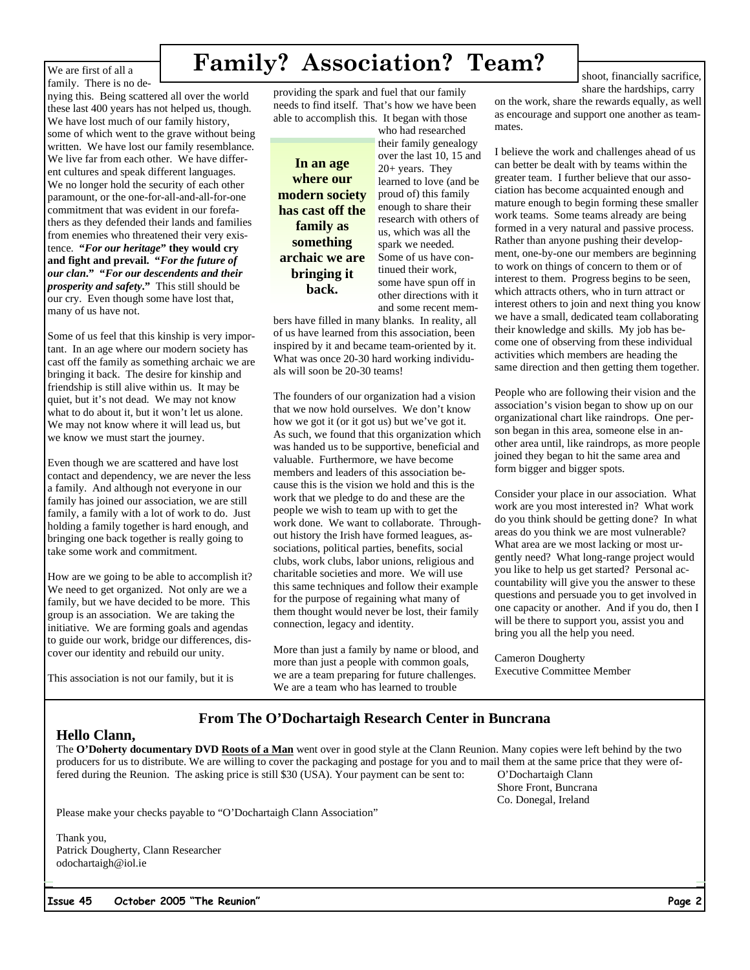We are first of all a family. There is no de-

# **Family? Association? Team?**

nying this. Being scattered all over the world these last 400 years has not helped us, though. We have lost much of our family history, some of which went to the grave without being written. We have lost our family resemblance. We live far from each other. We have different cultures and speak different languages. We no longer hold the security of each other paramount, or the one-for-all-and-all-for-one commitment that was evident in our forefathers as they defended their lands and families from enemies who threatened their very existence. **"***For our heritage***" they would cry and fight and prevail. "***For the future of our clan***." "***For our descendents and their prosperity and safety***."** This still should be our cry. Even though some have lost that, many of us have not.

Some of us feel that this kinship is very important. In an age where our modern society has cast off the family as something archaic we are bringing it back. The desire for kinship and friendship is still alive within us. It may be quiet, but it's not dead. We may not know what to do about it, but it won't let us alone. We may not know where it will lead us, but we know we must start the journey.

Even though we are scattered and have lost contact and dependency, we are never the less a family. And although not everyone in our family has joined our association, we are still family, a family with a lot of work to do. Just holding a family together is hard enough, and bringing one back together is really going to take some work and commitment.

How are we going to be able to accomplish it? We need to get organized. Not only are we a family, but we have decided to be more. This group is an association. We are taking the initiative. We are forming goals and agendas to guide our work, bridge our differences, discover our identity and rebuild our unity.

This association is not our family, but it is

providing the spark and fuel that our family needs to find itself. That's how we have been able to accomplish this. It began with those

**In an age where our modern society has cast off the family as something archaic we are bringing it back.**

who had researched their family genealogy over the last 10, 15 and 20+ years. They learned to love (and be proud of) this family enough to share their research with others of us, which was all the spark we needed. Some of us have continued their work, some have spun off in other directions with it and some recent mem-

bers have filled in many blanks. In reality, all of us have learned from this association, been inspired by it and became team-oriented by it. What was once 20-30 hard working individuals will soon be 20-30 teams!

The founders of our organization had a vision that we now hold ourselves. We don't know how we got it (or it got us) but we've got it. As such, we found that this organization which was handed us to be supportive, beneficial and valuable. Furthermore, we have become members and leaders of this association because this is the vision we hold and this is the work that we pledge to do and these are the people we wish to team up with to get the work done. We want to collaborate. Throughout history the Irish have formed leagues, associations, political parties, benefits, social clubs, work clubs, labor unions, religious and charitable societies and more. We will use this same techniques and follow their example for the purpose of regaining what many of them thought would never be lost, their family connection, legacy and identity.

More than just a family by name or blood, and more than just a people with common goals, we are a team preparing for future challenges. We are a team who has learned to trouble

on the work, share the rewards equally, as well as encourage and support one another as teammates.

I believe the work and challenges ahead of us can better be dealt with by teams within the greater team. I further believe that our association has become acquainted enough and mature enough to begin forming these smaller work teams. Some teams already are being formed in a very natural and passive process. Rather than anyone pushing their development, one-by-one our members are beginning to work on things of concern to them or of interest to them. Progress begins to be seen, which attracts others, who in turn attract or interest others to join and next thing you know we have a small, dedicated team collaborating their knowledge and skills. My job has become one of observing from these individual activities which members are heading the same direction and then getting them together.

People who are following their vision and the association's vision began to show up on our organizational chart like raindrops. One person began in this area, someone else in another area until, like raindrops, as more people joined they began to hit the same area and form bigger and bigger spots.

Consider your place in our association. What work are you most interested in? What work do you think should be getting done? In what areas do you think we are most vulnerable? What area are we most lacking or most urgently need? What long-range project would you like to help us get started? Personal accountability will give you the answer to these questions and persuade you to get involved in one capacity or another. And if you do, then I will be there to support you, assist you and bring you all the help you need.

Cameron Dougherty Executive Committee Member

### **From The O'Dochartaigh Research Center in Buncrana**

### **Hello Clann,**

The **O'Doherty documentary DVD Roots of a Man** went over in good style at the Clann Reunion. Many copies were left behind by the two producers for us to distribute. We are willing to cover the packaging and postage for you and to mail them at the same price that they were offered during the Reunion. The asking price is still \$30 (USA). Your payment can be sent to: O'Dochartaigh Clann

 Shore Front, Buncrana Co. Donegal, Ireland

Please make your checks payable to "O'Dochartaigh Clann Association"

Thank you, Patrick Dougherty, Clann Researcher odochartaigh@iol.ie



#### shoot, financially sacrifice, share the hardships, carry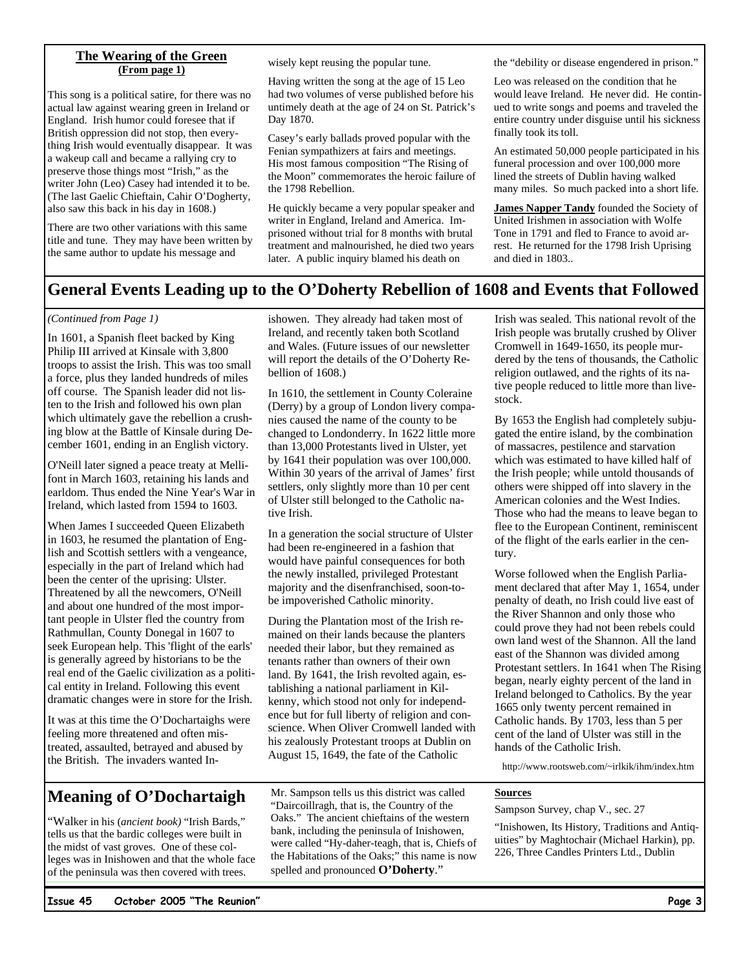### **The Wearing of the Green (From page 1)**

This song is a political satire, for there was no actual law against wearing green in Ireland or England. Irish humor could foresee that if British oppression did not stop, then everything Irish would eventually disappear. It was a wakeup call and became a rallying cry to preserve those things most "Irish," as the writer John (Leo) Casey had intended it to be. (The last Gaelic Chieftain, Cahir O'Dogherty, also saw this back in his day in 1608.)

There are two other variations with this same title and tune. They may have been written by the same author to update his message and

wisely kept reusing the popular tune.

Having written the song at the age of 15 Leo had two volumes of verse published before his untimely death at the age of 24 on St. Patrick's Day 1870.

Casey's early ballads proved popular with the Fenian sympathizers at fairs and meetings. His most famous composition "The Rising of the Moon" commemorates the heroic failure of the 1798 Rebellion.

He quickly became a very popular speaker and writer in England, Ireland and America. Imprisoned without trial for 8 months with brutal treatment and malnourished, he died two years later. A public inquiry blamed his death on

the "debility or disease engendered in prison."

Leo was released on the condition that he would leave Ireland. He never did. He continued to write songs and poems and traveled the entire country under disguise until his sickness finally took its toll.

An estimated 50,000 people participated in his funeral procession and over 100,000 more lined the streets of Dublin having walked many miles. So much packed into a short life.

**James Napper Tandy** founded the Society of United Irishmen in association with Wolfe Tone in 1791 and fled to France to avoid arrest. He returned for the 1798 Irish Uprising and died in 1803..

### **General Events Leading up to the O'Doherty Rebellion of 1608 and Events that Followed**

#### *(Continued from Page 1)*

In 1601, a Spanish fleet backed by King Philip III arrived at Kinsale with 3,800 troops to assist the Irish. This was too small a force, plus they landed hundreds of miles off course. The Spanish leader did not listen to the Irish and followed his own plan which ultimately gave the rebellion a crushing blow at the Battle of Kinsale during December 1601, ending in an English victory.

O'Neill later signed a peace treaty at Mellifont in March 1603, retaining his lands and earldom. Thus ended the Nine Year's War in Ireland, which lasted from 1594 to 1603.

When James I succeeded Queen Elizabeth in 1603, he resumed the plantation of English and Scottish settlers with a vengeance, especially in the part of Ireland which had been the center of the uprising: Ulster. Threatened by all the newcomers, O'Neill and about one hundred of the most important people in Ulster fled the country from Rathmullan, County Donegal in 1607 to seek European help. This 'flight of the earls' is generally agreed by historians to be the real end of the Gaelic civilization as a political entity in Ireland. Following this event dramatic changes were in store for the Irish.

It was at this time the O'Dochartaighs were feeling more threatened and often mistreated, assaulted, betrayed and abused by the British. The invaders wanted Inishowen. They already had taken most of Ireland, and recently taken both Scotland and Wales. (Future issues of our newsletter will report the details of the O'Doherty Rebellion of 1608.)

In 1610, the settlement in County Coleraine (Derry) by a group of London livery companies caused the name of the county to be changed to Londonderry. In 1622 little more than 13,000 Protestants lived in Ulster, yet by 1641 their population was over 100,000. Within 30 years of the arrival of James' first settlers, only slightly more than 10 per cent of Ulster still belonged to the Catholic native Irish.

In a generation the social structure of Ulster had been re-engineered in a fashion that would have painful consequences for both the newly installed, privileged Protestant majority and the disenfranchised, soon-tobe impoverished Catholic minority.

During the Plantation most of the Irish remained on their lands because the planters needed their labor, but they remained as tenants rather than owners of their own land. By 1641, the Irish revolted again, establishing a national parliament in Kilkenny, which stood not only for independence but for full liberty of religion and conscience. When Oliver Cromwell landed with his zealously Protestant troops at Dublin on August 15, 1649, the fate of the Catholic

### **Meaning of O'Dochartaigh**

"Walker in his (*ancient book)* "Irish Bards," tells us that the bardic colleges were built in the midst of vast groves. One of these colleges was in Inishowen and that the whole face of the peninsula was then covered with trees.

Mr. Sampson tells us this district was called "Daircoillragh, that is, the Country of the Oaks." The ancient chieftains of the western bank, including the peninsula of Inishowen, were called "Hy-daher-teagh, that is, Chiefs of the Habitations of the Oaks;" this name is now spelled and pronounced **O'Doherty**."

Irish was sealed. This national revolt of the Irish people was brutally crushed by Oliver Cromwell in 1649-1650, its people murdered by the tens of thousands, the Catholic religion outlawed, and the rights of its native people reduced to little more than livestock.

By 1653 the English had completely subjugated the entire island, by the combination of massacres, pestilence and starvation which was estimated to have killed half of the Irish people; while untold thousands of others were shipped off into slavery in the American colonies and the West Indies. Those who had the means to leave began to flee to the European Continent, reminiscent of the flight of the earls earlier in the century.

Worse followed when the English Parliament declared that after May 1, 1654, under penalty of death, no Irish could live east of the River Shannon and only those who could prove they had not been rebels could own land west of the Shannon. All the land east of the Shannon was divided among Protestant settlers. In 1641 when The Rising began, nearly eighty percent of the land in Ireland belonged to Catholics. By the year 1665 only twenty percent remained in Catholic hands. By 1703, less than 5 per cent of the land of Ulster was still in the hands of the Catholic Irish.

http://www.rootsweb.com/~irlkik/ihm/index.htm

### **Sources**

Sampson Survey, chap V., sec. 27

"Inishowen, Its History, Traditions and Antiquities" by Maghtochair (Michael Harkin), pp. 226, Three Candles Printers Ltd., Dublin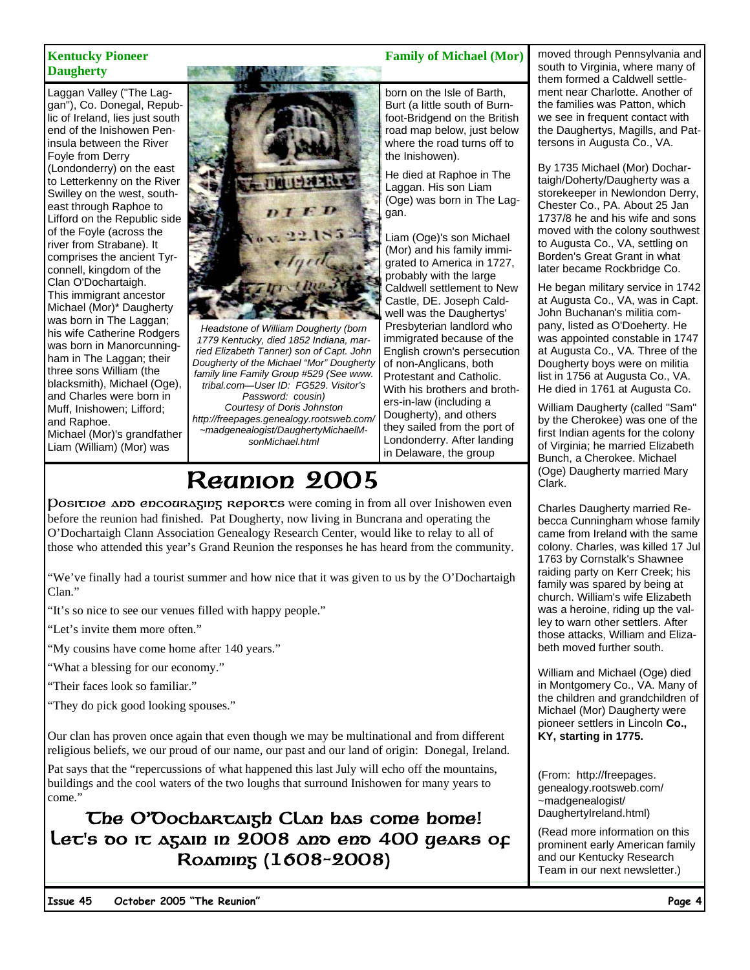# **Daugherty**

Laggan Valley ("The Laggan"), Co. Donegal, Republic of Ireland, lies just south end of the Inishowen Peninsula between the River Foyle from Derry (Londonderry) on the east to Letterkenny on the River Swilley on the west, southeast through Raphoe to Lifford on the Republic side of the Foyle (across the river from Strabane). It comprises the ancient Tyrconnell, kingdom of the Clan O'Dochartaigh. This immigrant ancestor Michael (Mor)\* Daugherty was born in The Laggan; his wife Catherine Rodgers was born in Manorcunningham in The Laggan; their three sons William (the blacksmith), Michael (Oge), and Charles were born in Muff, Inishowen; Lifford; and Raphoe. Michael (Mor)'s grandfather Liam (William) (Mor) was



*Headstone of William Dougherty (born 1779 Kentucky, died 1852 Indiana, married Elizabeth Tanner) son of Capt. John Dougherty of the Michael "Mor" Dougherty family line Family Group #529 (See www. tribal.com—User ID: FG529. Visitor's Password: cousin)* 

*Courtesy of Doris Johnston http://freepages.genealogy.rootsweb.com/ ~madgenealogist/DaughertyMichaelMsonMichael.html* 

# Reunion 2005

Positive and encouraging reports were coming in from all over Inishowen even before the reunion had finished. Pat Dougherty, now living in Buncrana and operating the O'Dochartaigh Clann Association Genealogy Research Center, would like to relay to all of those who attended this year's Grand Reunion the responses he has heard from the community.

"We've finally had a tourist summer and how nice that it was given to us by the O'Dochartaigh Clan."

"It's so nice to see our venues filled with happy people."

"Let's invite them more often."

"My cousins have come home after 140 years."

"What a blessing for our economy."

"Their faces look so familiar."

"They do pick good looking spouses."

Our clan has proven once again that even though we may be multinational and from different religious beliefs, we our proud of our name, our past and our land of origin: Donegal, Ireland.

Pat says that the "repercussions of what happened this last July will echo off the mountains, buildings and the cool waters of the two loughs that surround Inishowen for many years to come."

### The O'Dochartaigh Clan has come home! Let's do it again in 2008 and end 400 years of Roaming (1608−2008)

### **Kentucky Pioneer** Family of Michael (Mor) **Family of Michael (Mor)**

born on the Isle of Barth, Burt (a little south of Burnfoot-Bridgend on the British road map below, just below where the road turns off to the Inishowen).

He died at Raphoe in The Laggan. His son Liam (Oge) was born in The Laggan.

Liam (Oge)'s son Michael (Mor) and his family immigrated to America in 1727, probably with the large Caldwell settlement to New Castle, DE. Joseph Caldwell was the Daughertys' Presbyterian landlord who immigrated because of the English crown's persecution of non-Anglicans, both Protestant and Catholic. With his brothers and brothers-in-law (including a Dougherty), and others they sailed from the port of Londonderry. After landing in Delaware, the group

moved through Pennsylvania and south to Virginia, where many of them formed a Caldwell settlement near Charlotte. Another of the families was Patton, which we see in frequent contact with the Daughertys, Magills, and Pattersons in Augusta Co., VA.

By 1735 Michael (Mor) Dochartaigh/Doherty/Daugherty was a storekeeper in Newlondon Derry, Chester Co., PA. About 25 Jan 1737/8 he and his wife and sons moved with the colony southwest to Augusta Co., VA, settling on Borden's Great Grant in what later became Rockbridge Co.

He began military service in 1742 at Augusta Co., VA, was in Capt. John Buchanan's militia company, listed as O'Doeherty. He was appointed constable in 1747 at Augusta Co., VA. Three of the Dougherty boys were on militia list in 1756 at Augusta Co., VA. He died in 1761 at Augusta Co.

William Daugherty (called "Sam" by the Cherokee) was one of the first Indian agents for the colony of Virginia; he married Elizabeth Bunch, a Cherokee. Michael (Oge) Daugherty married Mary Clark.

Charles Daugherty married Rebecca Cunningham whose family came from Ireland with the same colony. Charles, was killed 17 Jul 1763 by Cornstalk's Shawnee raiding party on Kerr Creek; his family was spared by being at church. William's wife Elizabeth was a heroine, riding up the valley to warn other settlers. After those attacks, William and Elizabeth moved further south.

William and Michael (Oge) died in Montgomery Co., VA. Many of the children and grandchildren of Michael (Mor) Daugherty were pioneer settlers in Lincoln **Co., KY, starting in 1775.** 

(From: http://freepages. genealogy.rootsweb.com/ ~madgenealogist/ DaughertyIreland.html)

(Read more information on this prominent early American family and our Kentucky Research Team in our next newsletter.)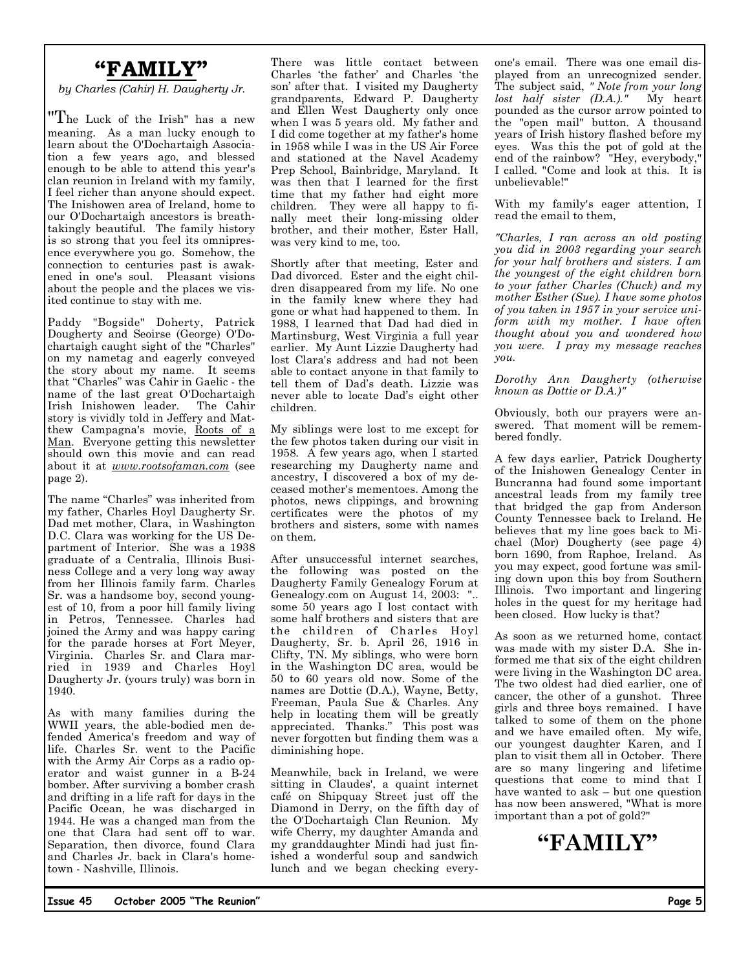## **"FAMILY"**

*by Charles (Cahir) H. Daugherty Jr.* 

"The Luck of the Irish" has a new meaning. As a man lucky enough to learn about the O'Dochartaigh Association a few years ago, and blessed enough to be able to attend this year's clan reunion in Ireland with my family, I feel richer than anyone should expect. The Inishowen area of Ireland, home to our O'Dochartaigh ancestors is breathtakingly beautiful. The family history is so strong that you feel its omnipresence everywhere you go. Somehow, the connection to centuries past is awakened in one's soul. Pleasant visions about the people and the places we visited continue to stay with me.

Paddy "Bogside" Doherty, Patrick Dougherty and Seoirse (George) O'Dochartaigh caught sight of the "Charles" on my nametag and eagerly conveyed the story about my name. It seems that "Charles" was Cahir in Gaelic - the name of the last great O'Dochartaigh Irish Inishowen leader. The Cahir story is vividly told in Jeffery and Matthew Campagna's movie, Roots of a Man. Everyone getting this newsletter should own this movie and can read about it at *www.rootsofaman.com* (see page 2).

The name "Charles" was inherited from my father, Charles Hoyl Daugherty Sr. Dad met mother, Clara, in Washington D.C. Clara was working for the US Department of Interior. She was a 1938 graduate of a Centralia, Illinois Business College and a very long way away from her Illinois family farm. Charles Sr. was a handsome boy, second youngest of 10, from a poor hill family living in Petros, Tennessee. Charles had joined the Army and was happy caring for the parade horses at Fort Meyer, Virginia. Charles Sr. and Clara married in 1939 and Charles Hoyl Daugherty Jr. (yours truly) was born in 1940.

As with many families during the WWII years, the able-bodied men defended America's freedom and way of life. Charles Sr. went to the Pacific with the Army Air Corps as a radio operator and waist gunner in a B-24 bomber. After surviving a bomber crash and drifting in a life raft for days in the Pacific Ocean, he was discharged in 1944. He was a changed man from the one that Clara had sent off to war. Separation, then divorce, found Clara and Charles Jr. back in Clara's hometown - Nashville, Illinois.

There was little contact between Charles 'the father' and Charles 'the son' after that. I visited my Daugherty grandparents, Edward P. Daugherty and Ellen West Daugherty only once when I was 5 years old. My father and I did come together at my father's home in 1958 while I was in the US Air Force and stationed at the Navel Academy Prep School, Bainbridge, Maryland. It was then that I learned for the first time that my father had eight more children. They were all happy to finally meet their long-missing older brother, and their mother, Ester Hall, was very kind to me, too.

Shortly after that meeting, Ester and Dad divorced. Ester and the eight children disappeared from my life. No one in the family knew where they had gone or what had happened to them. In 1988, I learned that Dad had died in Martinsburg, West Virginia a full year earlier. My Aunt Lizzie Daugherty had lost Clara's address and had not been able to contact anyone in that family to tell them of Dad's death. Lizzie was never able to locate Dad's eight other children.

My siblings were lost to me except for the few photos taken during our visit in 1958. A few years ago, when I started researching my Daugherty name and ancestry, I discovered a box of my deceased mother's mementoes. Among the photos, news clippings, and browning certificates were the photos of my brothers and sisters, some with names on them.

After unsuccessful internet searches, the following was posted on the Daugherty Family Genealogy Forum at Genealogy.com on August 14, 2003: "... some 50 years ago I lost contact with some half brothers and sisters that are the children of Charles Hoyl Daugherty, Sr. b. April 26, 1916 in Clifty, TN. My siblings, who were born in the Washington DC area, would be 50 to 60 years old now. Some of the names are Dottie (D.A.), Wayne, Betty, Freeman, Paula Sue & Charles. Any help in locating them will be greatly appreciated. Thanks." This post was never forgotten but finding them was a diminishing hope.

Meanwhile, back in Ireland, we were sitting in Claudes', a quaint internet café on Shipquay Street just off the Diamond in Derry, on the fifth day of the O'Dochartaigh Clan Reunion. My wife Cherry, my daughter Amanda and my granddaughter Mindi had just finished a wonderful soup and sandwich lunch and we began checking everyone's email. There was one email displayed from an unrecognized sender. The subject said, *" Note from your long lost half sister (D.A.)."* My heart pounded as the cursor arrow pointed to the "open mail" button. A thousand years of Irish history flashed before my eyes. Was this the pot of gold at the end of the rainbow? "Hey, everybody," I called. "Come and look at this. It is unbelievable!"

With my family's eager attention, I read the email to them,

*"Charles, I ran across an old posting you did in 2003 regarding your search for your half brothers and sisters. I am the youngest of the eight children born to your father Charles (Chuck) and my mother Esther (Sue). I have some photos of you taken in 1957 in your service uniform with my mother. I have often thought about you and wondered how you were. I pray my message reaches you.* 

*Dorothy Ann Daugherty (otherwise known as Dottie or D.A.)"* 

Obviously, both our prayers were answered. That moment will be remembered fondly.

A few days earlier, Patrick Dougherty of the Inishowen Genealogy Center in Buncranna had found some important ancestral leads from my family tree that bridged the gap from Anderson County Tennessee back to Ireland. He believes that my line goes back to Michael (Mor) Dougherty (see page 4) born 1690, from Raphoe, Ireland. As you may expect, good fortune was smiling down upon this boy from Southern Illinois. Two important and lingering holes in the quest for my heritage had been closed. How lucky is that?

As soon as we returned home, contact was made with my sister D.A. She informed me that six of the eight children were living in the Washington DC area. The two oldest had died earlier, one of cancer, the other of a gunshot. Three girls and three boys remained. I have talked to some of them on the phone and we have emailed often. My wife, our youngest daughter Karen, and I plan to visit them all in October. There are so many lingering and lifetime questions that come to mind that I have wanted to ask – but one question has now been answered, "What is more important than a pot of gold?"

**"FAMILY"**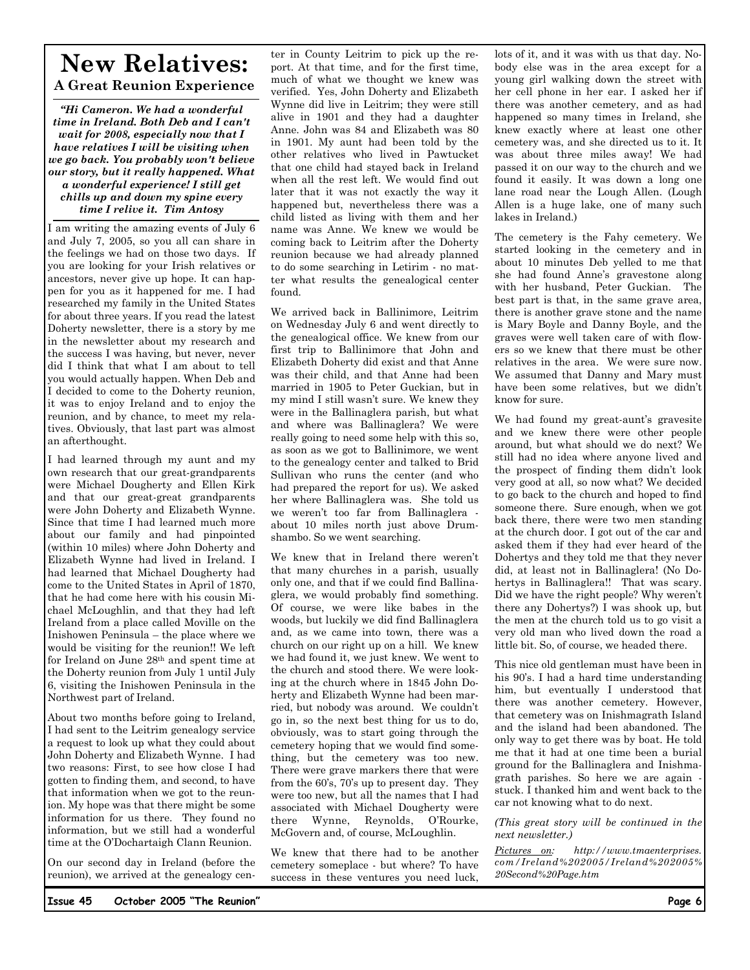### **New Relatives: A Great Reunion Experience**

*"Hi Cameron. We had a wonderful time in Ireland. Both Deb and I can't wait for 2008, especially now that I have relatives I will be visiting when we go back. You probably won't believe our story, but it really happened. What a wonderful experience! I still get chills up and down my spine every time I relive it. Tim Antosy* 

I am writing the amazing events of July 6 and July 7, 2005, so you all can share in the feelings we had on those two days. If you are looking for your Irish relatives or ancestors, never give up hope. It can happen for you as it happened for me. I had researched my family in the United States for about three years. If you read the latest Doherty newsletter, there is a story by me in the newsletter about my research and the success I was having, but never, never did I think that what I am about to tell you would actually happen. When Deb and I decided to come to the Doherty reunion, it was to enjoy Ireland and to enjoy the reunion, and by chance, to meet my relatives. Obviously, that last part was almost an afterthought.

I had learned through my aunt and my own research that our great-grandparents were Michael Dougherty and Ellen Kirk and that our great-great grandparents were John Doherty and Elizabeth Wynne. Since that time I had learned much more about our family and had pinpointed (within 10 miles) where John Doherty and Elizabeth Wynne had lived in Ireland. I had learned that Michael Dougherty had come to the United States in April of 1870, that he had come here with his cousin Michael McLoughlin, and that they had left Ireland from a place called Moville on the Inishowen Peninsula – the place where we would be visiting for the reunion!! We left for Ireland on June 28th and spent time at the Doherty reunion from July 1 until July 6, visiting the Inishowen Peninsula in the Northwest part of Ireland.

About two months before going to Ireland, I had sent to the Leitrim genealogy service a request to look up what they could about John Doherty and Elizabeth Wynne. I had two reasons: First, to see how close I had gotten to finding them, and second, to have that information when we got to the reunion. My hope was that there might be some information for us there. They found no information, but we still had a wonderful time at the O'Dochartaigh Clann Reunion.

On our second day in Ireland (before the reunion), we arrived at the genealogy center in County Leitrim to pick up the report. At that time, and for the first time, much of what we thought we knew was verified. Yes, John Doherty and Elizabeth Wynne did live in Leitrim; they were still alive in 1901 and they had a daughter Anne. John was 84 and Elizabeth was 80 in 1901. My aunt had been told by the other relatives who lived in Pawtucket that one child had stayed back in Ireland when all the rest left. We would find out later that it was not exactly the way it happened but, nevertheless there was a child listed as living with them and her name was Anne. We knew we would be coming back to Leitrim after the Doherty reunion because we had already planned to do some searching in Letirim - no matter what results the genealogical center found.

We arrived back in Ballinimore, Leitrim on Wednesday July 6 and went directly to the genealogical office. We knew from our first trip to Ballinimore that John and Elizabeth Doherty did exist and that Anne was their child, and that Anne had been married in 1905 to Peter Guckian, but in my mind I still wasn't sure. We knew they were in the Ballinaglera parish, but what and where was Ballinaglera? We were really going to need some help with this so, as soon as we got to Ballinimore, we went to the genealogy center and talked to Brid Sullivan who runs the center (and who had prepared the report for us). We asked her where Ballinaglera was. She told us we weren't too far from Ballinaglera about 10 miles north just above Drumshambo. So we went searching.

We knew that in Ireland there weren't that many churches in a parish, usually only one, and that if we could find Ballinaglera, we would probably find something. Of course, we were like babes in the woods, but luckily we did find Ballinaglera and, as we came into town, there was a church on our right up on a hill. We knew we had found it, we just knew. We went to the church and stood there. We were looking at the church where in 1845 John Doherty and Elizabeth Wynne had been married, but nobody was around. We couldn't go in, so the next best thing for us to do, obviously, was to start going through the cemetery hoping that we would find something, but the cemetery was too new. There were grave markers there that were from the 60's, 70's up to present day. They were too new, but all the names that I had associated with Michael Dougherty were there Wynne, Reynolds, O'Rourke, McGovern and, of course, McLoughlin.

We knew that there had to be another cemetery someplace - but where? To have success in these ventures you need luck,

lots of it, and it was with us that day. Nobody else was in the area except for a young girl walking down the street with her cell phone in her ear. I asked her if there was another cemetery, and as had happened so many times in Ireland, she knew exactly where at least one other cemetery was, and she directed us to it. It was about three miles away! We had passed it on our way to the church and we found it easily. It was down a long one lane road near the Lough Allen. (Lough Allen is a huge lake, one of many such lakes in Ireland.)

The cemetery is the Fahy cemetery. We started looking in the cemetery and in about 10 minutes Deb yelled to me that she had found Anne's gravestone along with her husband, Peter Guckian. The best part is that, in the same grave area, there is another grave stone and the name is Mary Boyle and Danny Boyle, and the graves were well taken care of with flowers so we knew that there must be other relatives in the area. We were sure now. We assumed that Danny and Mary must have been some relatives, but we didn't know for sure.

We had found my great-aunt's gravesite and we knew there were other people around, but what should we do next? We still had no idea where anyone lived and the prospect of finding them didn't look very good at all, so now what? We decided to go back to the church and hoped to find someone there. Sure enough, when we got back there, there were two men standing at the church door. I got out of the car and asked them if they had ever heard of the Dohertys and they told me that they never did, at least not in Ballinaglera! (No Dohertys in Ballinaglera!! That was scary. Did we have the right people? Why weren't there any Dohertys?) I was shook up, but the men at the church told us to go visit a very old man who lived down the road a little bit. So, of course, we headed there.

This nice old gentleman must have been in his 90's. I had a hard time understanding him, but eventually I understood that there was another cemetery. However, that cemetery was on Inishmagrath Island and the island had been abandoned. The only way to get there was by boat. He told me that it had at one time been a burial ground for the Ballinaglera and Inishmagrath parishes. So here we are again stuck. I thanked him and went back to the car not knowing what to do next.

*(This great story will be continued in the next newsletter.)* 

*Pictures on: http://www.tmaenterprises. com/Ireland%202005/Ireland%202005% 20Second%20Page.htm*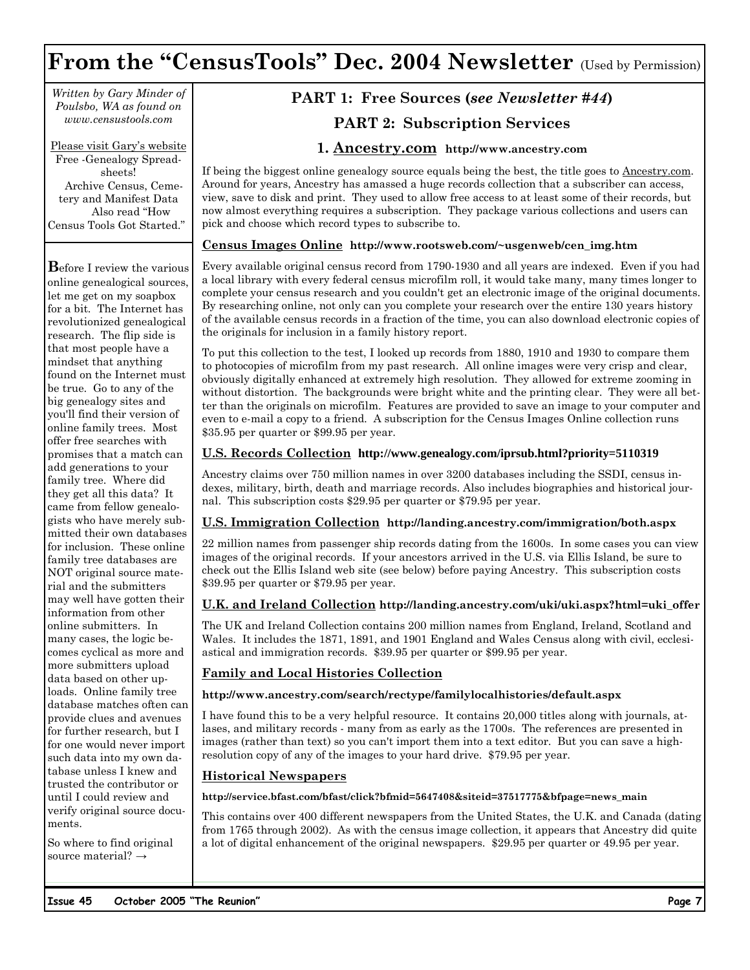# **From the "CensusTools" Dec. 2004 Newsletter** (Used by Permission)

*Written by Gary Minder of Poulsbo, WA as found on www.censustools.com* 

Please visit Gary's website Free -Genealogy Spreadsheets! Archive Census, Cemetery and Manifest Data Also read "How Census Tools Got Started."

**B**efore I review the various online genealogical sources, let me get on my soapbox for a bit. The Internet has revolutionized genealogical research. The flip side is that most people have a mindset that anything found on the Internet must be true. Go to any of the big genealogy sites and you'll find their version of online family trees. Most offer free searches with promises that a match can add generations to your family tree. Where did they get all this data? It came from fellow genealogists who have merely submitted their own databases for inclusion. These online family tree databases are NOT original source material and the submitters may well have gotten their information from other online submitters. In many cases, the logic becomes cyclical as more and more submitters upload data based on other uploads. Online family tree database matches often can provide clues and avenues for further research, but I for one would never import such data into my own database unless I knew and trusted the contributor or until I could review and verify original source documents.

So where to find original source material? →

### **PART 1: Free Sources (***see Newsletter #44***) PART 2: Subscription Services**

### **1. Ancestry.com http://www.ancestry.com**

If being the biggest online genealogy source equals being the best, the title goes to Ancestry.com. Around for years, Ancestry has amassed a huge records collection that a subscriber can access, view, save to disk and print. They used to allow free access to at least some of their records, but now almost everything requires a subscription. They package various collections and users can pick and choose which record types to subscribe to.

### **Census Images Online http://www.rootsweb.com/~usgenweb/cen\_img.htm**

Every available original census record from 1790-1930 and all years are indexed. Even if you had a local library with every federal census microfilm roll, it would take many, many times longer to complete your census research and you couldn't get an electronic image of the original documents. By researching online, not only can you complete your research over the entire 130 years history of the available census records in a fraction of the time, you can also download electronic copies of the originals for inclusion in a family history report.

To put this collection to the test, I looked up records from 1880, 1910 and 1930 to compare them to photocopies of microfilm from my past research. All online images were very crisp and clear, obviously digitally enhanced at extremely high resolution. They allowed for extreme zooming in without distortion. The backgrounds were bright white and the printing clear. They were all better than the originals on microfilm. Features are provided to save an image to your computer and even to e-mail a copy to a friend. A subscription for the Census Images Online collection runs \$35.95 per quarter or \$99.95 per year.

#### **U.S. Records Collection http://www.genealogy.com/iprsub.html?priority=5110319**

Ancestry claims over 750 million names in over 3200 databases including the SSDI, census indexes, military, birth, death and marriage records. Also includes biographies and historical journal. This subscription costs \$29.95 per quarter or \$79.95 per year.

### **U.S. Immigration Collection http://landing.ancestry.com/immigration/both.aspx**

22 million names from passenger ship records dating from the 1600s. In some cases you can view images of the original records. If your ancestors arrived in the U.S. via Ellis Island, be sure to check out the Ellis Island web site (see below) before paying Ancestry. This subscription costs \$39.95 per quarter or \$79.95 per year.

#### **U.K. and Ireland Collection http://landing.ancestry.com/uki/uki.aspx?html=uki\_offer**

The UK and Ireland Collection contains 200 million names from England, Ireland, Scotland and Wales. It includes the 1871, 1891, and 1901 England and Wales Census along with civil, ecclesiastical and immigration records. \$39.95 per quarter or \$99.95 per year.

### **Family and Local Histories Collection**

#### **http://www.ancestry.com/search/rectype/familylocalhistories/default.aspx**

I have found this to be a very helpful resource. It contains 20,000 titles along with journals, atlases, and military records - many from as early as the 1700s. The references are presented in images (rather than text) so you can't import them into a text editor. But you can save a highresolution copy of any of the images to your hard drive. \$79.95 per year.

### **Historical Newspapers**

#### **http://service.bfast.com/bfast/click?bfmid=5647408&siteid=37517775&bfpage=news\_main**

This contains over 400 different newspapers from the United States, the U.K. and Canada (dating from 1765 through 2002). As with the census image collection, it appears that Ancestry did quite a lot of digital enhancement of the original newspapers. \$29.95 per quarter or 49.95 per year.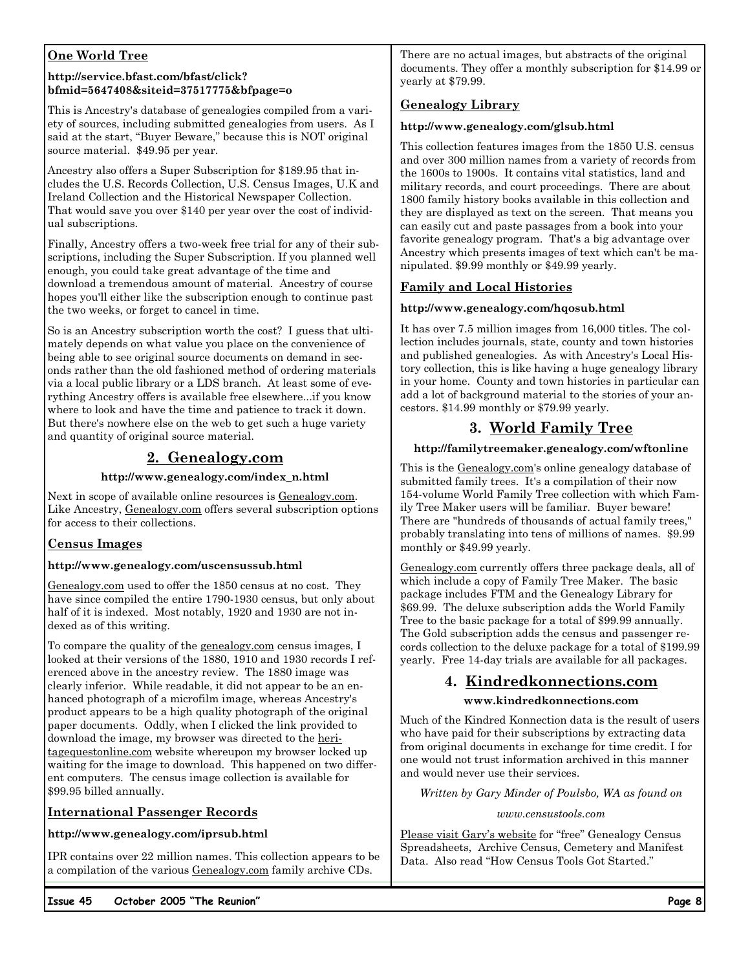### **One World Tree**

#### **http://service.bfast.com/bfast/click? bfmid=5647408&siteid=37517775&bfpage=o**

This is Ancestry's database of genealogies compiled from a variety of sources, including submitted genealogies from users. As I said at the start, "Buyer Beware," because this is NOT original source material. \$49.95 per year.

Ancestry also offers a Super Subscription for \$189.95 that includes the U.S. Records Collection, U.S. Census Images, U.K and Ireland Collection and the Historical Newspaper Collection. That would save you over \$140 per year over the cost of individual subscriptions.

Finally, Ancestry offers a two-week free trial for any of their subscriptions, including the Super Subscription. If you planned well enough, you could take great advantage of the time and download a tremendous amount of material. Ancestry of course hopes you'll either like the subscription enough to continue past the two weeks, or forget to cancel in time.

So is an Ancestry subscription worth the cost? I guess that ultimately depends on what value you place on the convenience of being able to see original source documents on demand in seconds rather than the old fashioned method of ordering materials via a local public library or a LDS branch. At least some of everything Ancestry offers is available free elsewhere...if you know where to look and have the time and patience to track it down. But there's nowhere else on the web to get such a huge variety and quantity of original source material.

### **2. Genealogy.com**

### **http://www.genealogy.com/index\_n.html**

Next in scope of available online resources is Genealogy.com. Like Ancestry, Genealogy.com offers several subscription options for access to their collections.

### **Census Images**

### **http://www.genealogy.com/uscensussub.html**

Genealogy.com used to offer the 1850 census at no cost. They have since compiled the entire 1790-1930 census, but only about half of it is indexed. Most notably, 1920 and 1930 are not indexed as of this writing.

To compare the quality of the genealogy.com census images, I looked at their versions of the 1880, 1910 and 1930 records I referenced above in the ancestry review. The 1880 image was clearly inferior. While readable, it did not appear to be an enhanced photograph of a microfilm image, whereas Ancestry's product appears to be a high quality photograph of the original paper documents. Oddly, when I clicked the link provided to download the image, my browser was directed to the heritagequestonline.com website whereupon my browser locked up waiting for the image to download. This happened on two different computers. The census image collection is available for \$99.95 billed annually.

### **International Passenger Records**

### **http://www.genealogy.com/iprsub.html**

IPR contains over 22 million names. This collection appears to be a compilation of the various Genealogy.com family archive CDs.

There are no actual images, but abstracts of the original documents. They offer a monthly subscription for \$14.99 or yearly at \$79.99.

### **Genealogy Library**

### **http://www.genealogy.com/glsub.html**

This collection features images from the 1850 U.S. census and over 300 million names from a variety of records from the 1600s to 1900s. It contains vital statistics, land and military records, and court proceedings. There are about 1800 family history books available in this collection and they are displayed as text on the screen. That means you can easily cut and paste passages from a book into your favorite genealogy program. That's a big advantage over Ancestry which presents images of text which can't be manipulated. \$9.99 monthly or \$49.99 yearly.

### **Family and Local Histories**

### **http://www.genealogy.com/hqosub.html**

It has over 7.5 million images from 16,000 titles. The collection includes journals, state, county and town histories and published genealogies. As with Ancestry's Local History collection, this is like having a huge genealogy library in your home. County and town histories in particular can add a lot of background material to the stories of your ancestors. \$14.99 monthly or \$79.99 yearly.

### **3. World Family Tree**

### **http://familytreemaker.genealogy.com/wftonline**

This is the Genealogy.com's online genealogy database of submitted family trees. It's a compilation of their now 154-volume World Family Tree collection with which Family Tree Maker users will be familiar. Buyer beware! There are "hundreds of thousands of actual family trees," probably translating into tens of millions of names. \$9.99 monthly or \$49.99 yearly.

Genealogy.com currently offers three package deals, all of which include a copy of Family Tree Maker. The basic package includes FTM and the Genealogy Library for \$69.99. The deluxe subscription adds the World Family Tree to the basic package for a total of \$99.99 annually. The Gold subscription adds the census and passenger records collection to the deluxe package for a total of \$199.99 yearly. Free 14-day trials are available for all packages.

### **4. Kindredkonnections.com**

### **www.kindredkonnections.com**

Much of the Kindred Konnection data is the result of users who have paid for their subscriptions by extracting data from original documents in exchange for time credit. I for one would not trust information archived in this manner and would never use their services.

*Written by Gary Minder of Poulsbo, WA as found on* 

*www.censustools.com* 

Please visit Gary's website for "free" Genealogy Census Spreadsheets, Archive Census, Cemetery and Manifest Data. Also read "How Census Tools Got Started."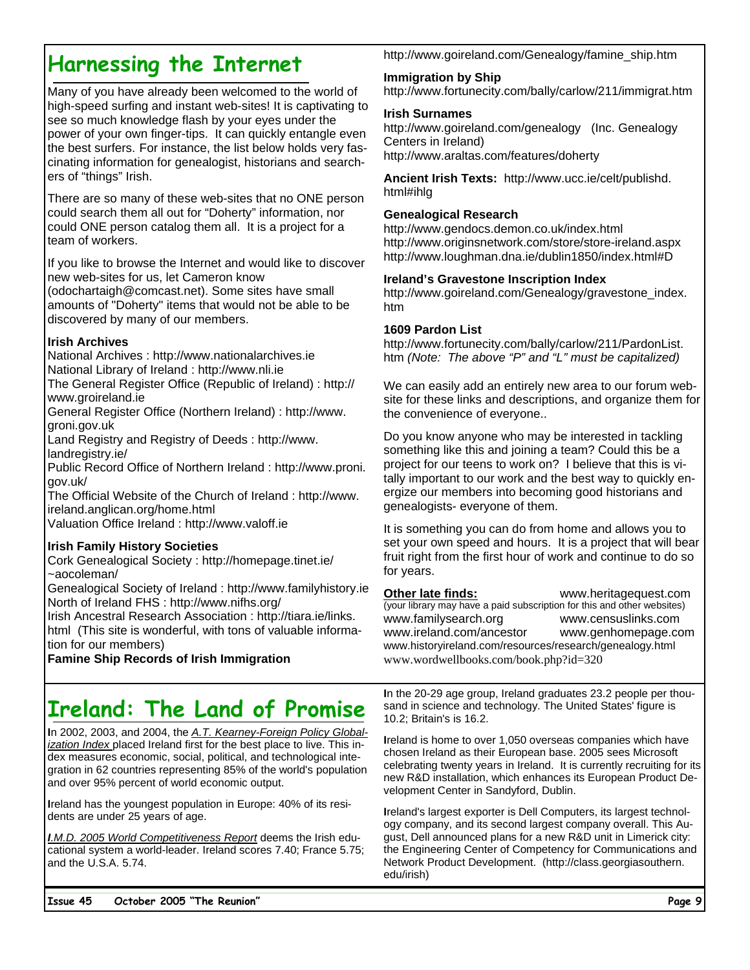# **Harnessing the Internet**

Many of you have already been welcomed to the world of high-speed surfing and instant web-sites! It is captivating to see so much knowledge flash by your eyes under the power of your own finger-tips. It can quickly entangle even the best surfers. For instance, the list below holds very fascinating information for genealogist, historians and searchers of "things" Irish.

There are so many of these web-sites that no ONE person could search them all out for "Doherty" information, nor could ONE person catalog them all. It is a project for a team of workers.

If you like to browse the Internet and would like to discover new web-sites for us, let Cameron know (odochartaigh@comcast.net). Some sites have small

amounts of "Doherty" items that would not be able to be discovered by many of our members.

### **Irish Archives**

National Archives : http://www.nationalarchives.ie National Library of Ireland : http://www.nli.ie

The General Register Office (Republic of Ireland) : http:// www.groireland.ie

General Register Office (Northern Ireland) : http://www. groni.gov.uk

Land Registry and Registry of Deeds : http://www. landregistry.ie/

Public Record Office of Northern Ireland : http://www.proni. gov.uk/

The Official Website of the Church of Ireland : http://www. ireland.anglican.org/home.html

Valuation Office Ireland : http://www.valoff.ie

### **Irish Family History Societies**

Cork Genealogical Society : http://homepage.tinet.ie/ ~aocoleman/

Genealogical Society of Ireland : http://www.familyhistory.ie North of Ireland FHS : http://www.nifhs.org/

Irish Ancestral Research Association : http://tiara.ie/links. html (This site is wonderful, with tons of valuable information for our members)

**Famine Ship Records of Irish Immigration** 

# **Ireland: The Land of Promise**

**I**n 2002, 2003, and 2004, the *A.T. Kearney-Foreign Policy Globalization Index* placed Ireland first for the best place to live. This index measures economic, social, political, and technological integration in 62 countries representing 85% of the world's population and over 95% percent of world economic output.

**I**reland has the youngest population in Europe: 40% of its residents are under 25 years of age.

*I.M.D. 2005 World Competitiveness Report* deems the Irish educational system a world-leader. Ireland scores 7.40; France 5.75; and the U.S.A. 5.74.

http://www.goireland.com/Genealogy/famine\_ship.htm

### **Immigration by Ship**

http://www.fortunecity.com/bally/carlow/211/immigrat.htm

### **Irish Surnames**

http://www.goireland.com/genealogy (Inc. Genealogy Centers in Ireland) http://www.araltas.com/features/doherty

**Ancient Irish Texts:** http://www.ucc.ie/celt/publishd. html#ihlg

### **Genealogical Research**

http://www.gendocs.demon.co.uk/index.html http://www.originsnetwork.com/store/store-ireland.aspx http://www.loughman.dna.ie/dublin1850/index.html#D

### **Ireland's Gravestone Inscription Index**

http://www.goireland.com/Genealogy/gravestone\_index. htm

### **1609 Pardon List**

http://www.fortunecity.com/bally/carlow/211/PardonList. htm *(Note: The above "P" and "L" must be capitalized)*

We can easily add an entirely new area to our forum website for these links and descriptions, and organize them for the convenience of everyone..

Do you know anyone who may be interested in tackling something like this and joining a team? Could this be a project for our teens to work on? I believe that this is vitally important to our work and the best way to quickly energize our members into becoming good historians and genealogists- everyone of them.

It is something you can do from home and allows you to set your own speed and hours. It is a project that will bear fruit right from the first hour of work and continue to do so for years.

**Other late finds:** www.heritagequest.com (your library may have a paid subscription for this and other websites) www.familysearch.org www.censuslinks.com www.ireland.com/ancestor www.genhomepage.com www.historyireland.com/resources/research/genealogy.html www.wordwellbooks.com/book.php?id=320

**I**n the 20-29 age group, Ireland graduates 23.2 people per thousand in science and technology. The United States' figure is 10.2; Britain's is 16.2.

**I**reland is home to over 1,050 overseas companies which have chosen Ireland as their European base. 2005 sees Microsoft celebrating twenty years in Ireland. It is currently recruiting for its new R&D installation, which enhances its European Product Development Center in Sandyford, Dublin.

**I**reland's largest exporter is Dell Computers, its largest technology company, and its second largest company overall. This August, Dell announced plans for a new R&D unit in Limerick city: the Engineering Center of Competency for Communications and Network Product Development. (http://class.georgiasouthern. edu/irish)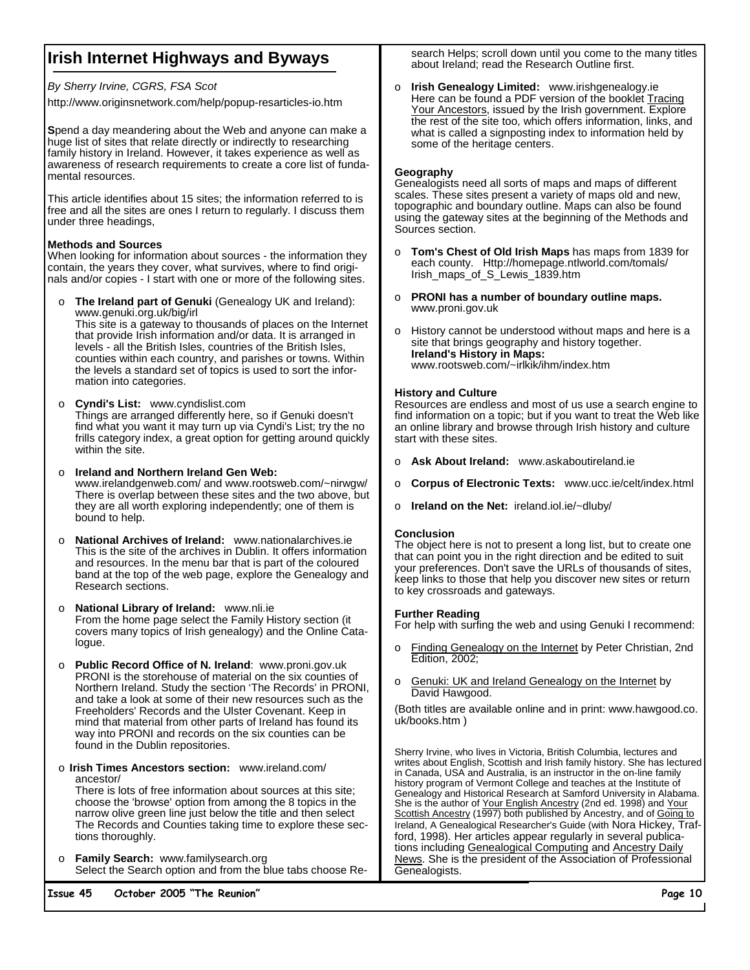### **Irish Internet Highways and Byways**

*By Sherry Irvine, CGRS, FSA Scot*

http://www.originsnetwork.com/help/popup-resarticles-io.htm

**S**pend a day meandering about the Web and anyone can make a huge list of sites that relate directly or indirectly to researching family history in Ireland. However, it takes experience as well as awareness of research requirements to create a core list of fundamental resources.

This article identifies about 15 sites; the information referred to is free and all the sites are ones I return to regularly. I discuss them under three headings,

#### **Methods and Sources**

When looking for information about sources - the information they contain, the years they cover, what survives, where to find originals and/or copies - I start with one or more of the following sites.

- o **The Ireland part of Genuki** (Genealogy UK and Ireland): www.genuki.org.uk/big/irl This site is a gateway to thousands of places on the Internet that provide Irish information and/or data. It is arranged in levels - all the British Isles, countries of the British Isles, counties within each country, and parishes or towns. Within the levels a standard set of topics is used to sort the information into categories.
- o **Cyndi's List:** www.cyndislist.com Things are arranged differently here, so if Genuki doesn't find what you want it may turn up via Cyndi's List; try the no frills category index, a great option for getting around quickly within the site.
- o **Ireland and Northern Ireland Gen Web:**  www.irelandgenweb.com/ and www.rootsweb.com/~nirwgw/ There is overlap between these sites and the two above, but they are all worth exploring independently; one of them is bound to help.
- o **National Archives of Ireland:** www.nationalarchives.ie This is the site of the archives in Dublin. It offers information and resources. In the menu bar that is part of the coloured band at the top of the web page, explore the Genealogy and Research sections.
- o **National Library of Ireland:** www.nli.ie From the home page select the Family History section (it covers many topics of Irish genealogy) and the Online Catalogue.
- o **Public Record Office of N. Ireland**: www.proni.gov.uk PRONI is the storehouse of material on the six counties of Northern Ireland. Study the section 'The Records' in PRONI, and take a look at some of their new resources such as the Freeholders' Records and the Ulster Covenant. Keep in mind that material from other parts of Ireland has found its way into PRONI and records on the six counties can be found in the Dublin repositories.
- o **Irish Times Ancestors section:** www.ireland.com/ ancestor/

There is lots of free information about sources at this site; choose the 'browse' option from among the 8 topics in the narrow olive green line just below the title and then select The Records and Counties taking time to explore these sections thoroughly.

o **Family Search:** www.familysearch.org Select the Search option and from the blue tabs choose Re-

**Issue 45 October 2005 "The Reunion" Page 10** 

search Helps; scroll down until you come to the many titles about Ireland; read the Research Outline first.

o **Irish Genealogy Limited:** www.irishgenealogy.ie Here can be found a PDF version of the booklet Tracing Your Ancestors, issued by the Irish government. Explore the rest of the site too, which offers information, links, and what is called a signposting index to information held by some of the heritage centers.

#### **Geography**

Genealogists need all sorts of maps and maps of different scales. These sites present a variety of maps old and new, topographic and boundary outline. Maps can also be found using the gateway sites at the beginning of the Methods and Sources section.

- o **Tom's Chest of Old Irish Maps** has maps from 1839 for each county. Http://homepage.ntlworld.com/tomals/ Irish\_maps\_of\_S\_Lewis\_1839.htm
- o **PRONI has a number of boundary outline maps.** www.proni.gov.uk
- o History cannot be understood without maps and here is a site that brings geography and history together. **Ireland's History in Maps:** www.rootsweb.com/~irlkik/ihm/index.htm

### **History and Culture**

Resources are endless and most of us use a search engine to find information on a topic; but if you want to treat the Web like an online library and browse through Irish history and culture start with these sites.

- o **Ask About Ireland:** www.askaboutireland.ie
- o **Corpus of Electronic Texts:** www.ucc.ie/celt/index.html
- o **Ireland on the Net:** ireland.iol.ie/~dluby/

### **Conclusion**

The object here is not to present a long list, but to create one that can point you in the right direction and be edited to suit your preferences. Don't save the URLs of thousands of sites, keep links to those that help you discover new sites or return to key crossroads and gateways.

#### **Further Reading**

For help with surfing the web and using Genuki I recommend:

- o Finding Genealogy on the Internet by Peter Christian, 2nd Edition, 2002;
- Genuki: UK and Ireland Genealogy on the Internet by David Hawgood.

(Both titles are available online and in print: www.hawgood.co. uk/books.htm )

Sherry Irvine, who lives in Victoria, British Columbia, lectures and writes about English, Scottish and Irish family history. She has lectured in Canada, USA and Australia, is an instructor in the on-line family history program of Vermont College and teaches at the Institute of Genealogy and Historical Research at Samford University in Alabama. She is the author of Your English Ancestry (2nd ed. 1998) and Your Scottish Ancestry (1997) both published by Ancestry, and of Going to Ireland, A Genealogical Researcher's Guide (with Nora Hickey, Trafford, 1998). Her articles appear regularly in several publications including Genealogical Computing and Ancestry Daily News. She is the president of the Association of Professional Genealogists.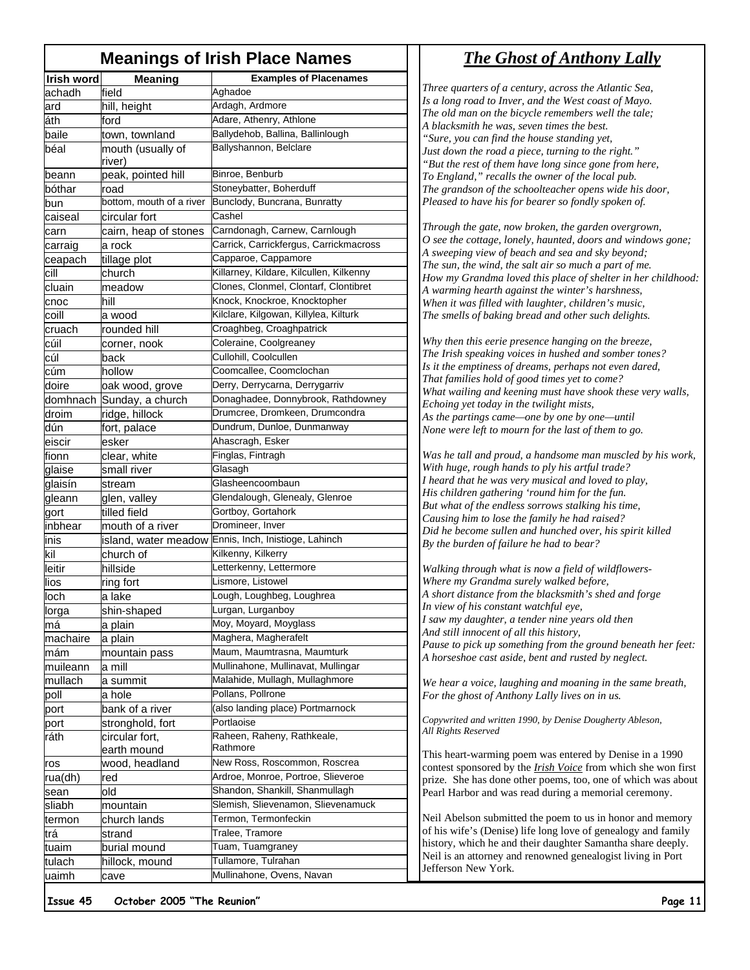### **Meanings of Irish Place Names**

| Irish word | <b>Meaning</b>            | <b>Examples of Placenames</b>                        |
|------------|---------------------------|------------------------------------------------------|
| achadh     | field                     | Aghadoe                                              |
| ard        | hill, height              | Ardagh, Ardmore                                      |
| áth        | ford                      | Adare, Athenry, Athlone                              |
| baile      | town, townland            | Ballydehob, Ballina, Ballinlough                     |
| béal       | mouth (usually of         | Ballyshannon, Belclare                               |
|            | river)                    |                                                      |
| beann      | peak, pointed hill        | Binroe, Benburb                                      |
| bóthar     | road                      | Stoneybatter, Boherduff                              |
| bun        | bottom, mouth of a river  | Bunclody, Buncrana, Bunratty                         |
| caiseal    | circular fort             | Cashel                                               |
| carn       | cairn, heap of stones     | Carndonagh, Carnew, Carnlough                        |
| carraig    | a rock                    | Carrick, Carrickfergus, Carrickmacross               |
| ceapach    | tillage plot              | Capparoe, Cappamore                                  |
| cill       | church                    | Killarney, Kildare, Kilcullen, Kilkenny              |
| cluain     | meadow                    | Clones, Clonmel, Clontarf, Clontibret                |
| cnoc       | hill                      | Knock, Knockroe, Knocktopher                         |
| coill      | a wood                    | Kilclare, Kilgowan, Killylea, Kilturk                |
| cruach     | rounded hill              | Croaghbeg, Croaghpatrick                             |
| cúil       | corner, nook              | Coleraine, Coolgreaney                               |
| cúl        | back                      | Cullohill, Coolcullen                                |
| cúm        | hollow                    | Coomcallee, Coomclochan                              |
| doire      | oak wood, grove           | Derry, Derrycarna, Derrygarriv                       |
|            | domhnach Sunday, a church | Donaghadee, Donnybrook, Rathdowney                   |
| droim      | ridge, hillock            | Drumcree, Dromkeen, Drumcondra                       |
| dún        | fort, palace              | Dundrum, Dunloe, Dunmanway                           |
| eiscir     | esker                     | Ahascragh, Esker                                     |
| fionn      | clear, white              | Finglas, Fintragh                                    |
| glaise     | small river               | Glasagh                                              |
| glaisín    | stream                    | Glasheencoombaun                                     |
| gleann     | glen, valley              | Glendalough, Glenealy, Glenroe                       |
| gort       | tilled field              | Gortboy, Gortahork                                   |
| inbhear    | mouth of a river          | Dromineer, Inver                                     |
| inis       |                           | island, water meadow Ennis, Inch, Inistioge, Lahinch |
| kil        | church of                 | Kilkenny, Kilkerry                                   |
| leitir     | hillside                  | Letterkenny, Lettermore                              |
| lios       | ring fort                 | Lismore, Listowel                                    |
| loch       | a lake                    | Lough, Loughbeg, Loughrea                            |
| lorga      | shin-shaped               | Lurgan, Lurganboy                                    |
| mà         | a plain                   | Moy, Moyard, Moyglass                                |
| machaire   | a plain                   | Maghera, Magherafelt                                 |
| mám        | mountain pass             | Maum, Maumtrasna, Maumturk                           |
| muileann   | a mill                    | Mullinahone, Mullinavat, Mullingar                   |
| mullach    | a summit                  | Malahide, Mullagh, Mullaghmore                       |
| poll       | a hole                    | Pollans, Pollrone                                    |
| port       | bank of a river           | (also landing place) Portmarnock                     |
| port       | stronghold, fort          | Portlaoise                                           |
| ráth       | circular fort,            | Raheen, Raheny, Rathkeale,                           |
|            | earth mound               | Rathmore                                             |
| ros        | wood, headland            | New Ross, Roscommon, Roscrea                         |
| rua(dh)    | red                       | Ardroe, Monroe, Portroe, Slieveroe                   |
| sean       | old                       | Shandon, Shankill, Shanmullagh                       |
| sliabh     | mountain                  | Slemish, Slievenamon, Slievenamuck                   |
| termon     | church lands              | Termon, Termonfeckin                                 |
| trá        | strand                    | Tralee, Tramore                                      |
| tuaim      | burial mound              | Tuam, Tuamgraney                                     |
| tulach     | hillock, mound            | Tullamore, Tulrahan                                  |
| uaimh      | cave                      | Mullinahone, Ovens, Navan                            |
|            |                           |                                                      |

### *The Ghost of Anthony Lally*

*Three quarters of a century, across the Atlantic Sea, Is a long road to Inver, and the West coast of Mayo. The old man on the bicycle remembers well the tale; A blacksmith he was, seven times the best. "Sure, you can find the house standing yet, Just down the road a piece, turning to the right." "But the rest of them have long since gone from here, To England," recalls the owner of the local pub. The grandson of the schoolteacher opens wide his door, Pleased to have his for bearer so fondly spoken of.* 

*Through the gate, now broken, the garden overgrown, O see the cottage, lonely, haunted, doors and windows gone; A sweeping view of beach and sea and sky beyond; The sun, the wind, the salt air so much a part of me. How my Grandma loved this place of shelter in her childhood: A warming hearth against the winter's harshness, When it was filled with laughter, children's music, The smells of baking bread and other such delights.* 

*Why then this eerie presence hanging on the breeze, The Irish speaking voices in hushed and somber tones? Is it the emptiness of dreams, perhaps not even dared, That families hold of good times yet to come? What wailing and keening must have shook these very walls, Echoing yet today in the twilight mists, As the partings came—one by one by one—until None were left to mourn for the last of them to go.* 

*Was he tall and proud, a handsome man muscled by his work, With huge, rough hands to ply his artful trade? I heard that he was very musical and loved to play, His children gathering 'round him for the fun. But what of the endless sorrows stalking his time, Causing him to lose the family he had raised? Did he become sullen and hunched over, his spirit killed By the burden of failure he had to bear?* 

*Walking through what is now a field of wildflowers-Where my Grandma surely walked before, A short distance from the blacksmith's shed and forge In view of his constant watchful eye, I saw my daughter, a tender nine years old then And still innocent of all this history, Pause to pick up something from the ground beneath her feet: A horseshoe cast aside, bent and rusted by neglect.* 

*We hear a voice, laughing and moaning in the same breath, For the ghost of Anthony Lally lives on in us.* 

*Copywrited and written 1990, by Denise Dougherty Ableson, All Rights Reserved* 

This heart-warming poem was entered by Denise in a 1990 contest sponsored by the *Irish Voice* from which she won first prize. She has done other poems, too, one of which was about Pearl Harbor and was read during a memorial ceremony.

Neil Abelson submitted the poem to us in honor and memory of his wife's (Denise) life long love of genealogy and family history, which he and their daughter Samantha share deeply. Neil is an attorney and renowned genealogist living in Port Jefferson New York.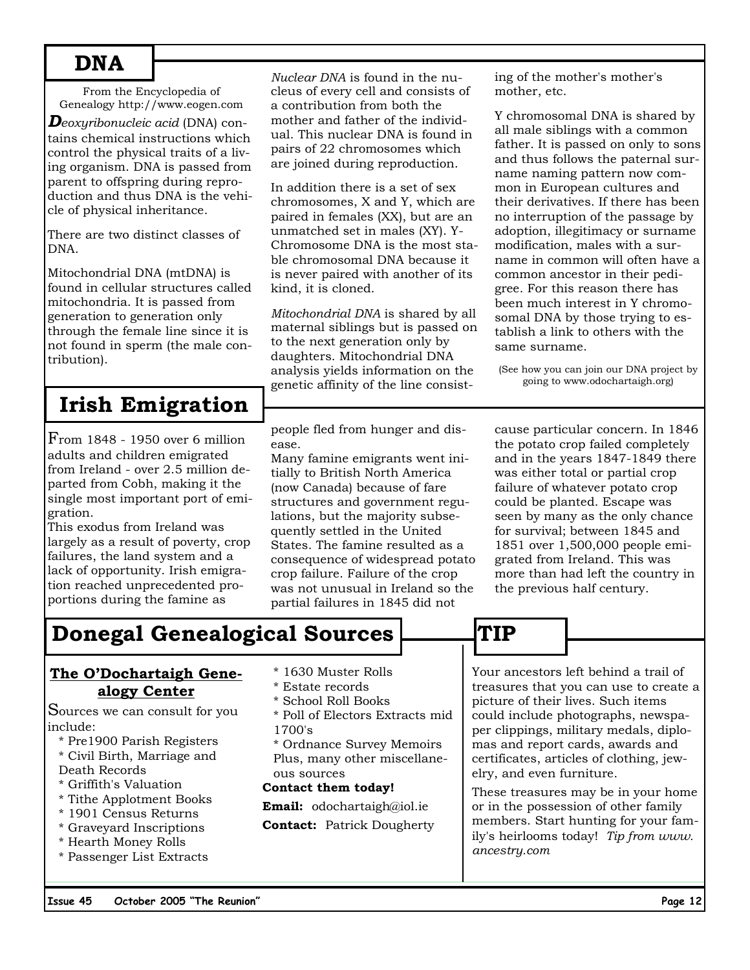# **DNA**

From the Encyclopedia of Genealogy http://www.eogen.com

*Deoxyribonucleic acid* (DNA) contains chemical instructions which control the physical traits of a living organism. DNA is passed from parent to offspring during reproduction and thus DNA is the vehicle of physical inheritance.

There are two distinct classes of DNA.

Mitochondrial DNA (mtDNA) is found in cellular structures called mitochondria. It is passed from generation to generation only through the female line since it is not found in sperm (the male contribution).

# **Irish Emigration**

From 1848 - 1950 over 6 million adults and children emigrated from Ireland - over 2.5 million departed from Cobh, making it the single most important port of emigration.

This exodus from Ireland was largely as a result of poverty, crop failures, the land system and a lack of opportunity. Irish emigration reached unprecedented proportions during the famine as

*Nuclear DNA* is found in the nucleus of every cell and consists of a contribution from both the mother and father of the individual. This nuclear DNA is found in pairs of 22 chromosomes which are joined during reproduction.

In addition there is a set of sex chromosomes, X and Y, which are paired in females (XX), but are an unmatched set in males (XY). Y-Chromosome DNA is the most stable chromosomal DNA because it is never paired with another of its kind, it is cloned.

*Mitochondrial DNA* is shared by all maternal siblings but is passed on to the next generation only by daughters. Mitochondrial DNA analysis yields information on the genetic affinity of the line consist-

people fled from hunger and disease.

Many famine emigrants went initially to British North America (now Canada) because of fare structures and government regulations, but the majority subsequently settled in the United States. The famine resulted as a consequence of widespread potato crop failure. Failure of the crop was not unusual in Ireland so the partial failures in 1845 did not

ing of the mother's mother's mother, etc.

Y chromosomal DNA is shared by all male siblings with a common father. It is passed on only to sons and thus follows the paternal surname naming pattern now common in European cultures and their derivatives. If there has been no interruption of the passage by adoption, illegitimacy or surname modification, males with a surname in common will often have a common ancestor in their pedigree. For this reason there has been much interest in Y chromosomal DNA by those trying to establish a link to others with the same surname.

(See how you can join our DNA project by going to www.odochartaigh.org)

cause particular concern. In 1846 the potato crop failed completely and in the years 1847-1849 there was either total or partial crop failure of whatever potato crop could be planted. Escape was seen by many as the only chance for survival; between 1845 and 1851 over 1,500,000 people emigrated from Ireland. This was more than had left the country in the previous half century.

# **Donegal Genealogical Sources | TIP**

### **The O'Dochartaigh Genealogy Center**

Sources we can consult for you include:

- \* Pre1900 Parish Registers
- \* Civil Birth, Marriage and Death Records
- \* Griffith's Valuation
- \* Tithe Applotment Books
- \* 1901 Census Returns
- \* Graveyard Inscriptions
- \* Hearth Money Rolls
- \* Passenger List Extracts
- \* 1630 Muster Rolls
- \* Estate records
- \* School Roll Books
- \* Poll of Electors Extracts mid 1700's

\* Ordnance Survey Memoirs Plus, many other miscellaneous sources

### **Contact them today!**

**Email:** odochartaigh@iol.ie

**Contact:** Patrick Dougherty

Your ancestors left behind a trail of treasures that you can use to create a picture of their lives. Such items could include photographs, newspaper clippings, military medals, diplomas and report cards, awards and certificates, articles of clothing, jewelry, and even furniture.

These treasures may be in your home or in the possession of other family members. Start hunting for your family's heirlooms today! *Tip from www. ancestry.com*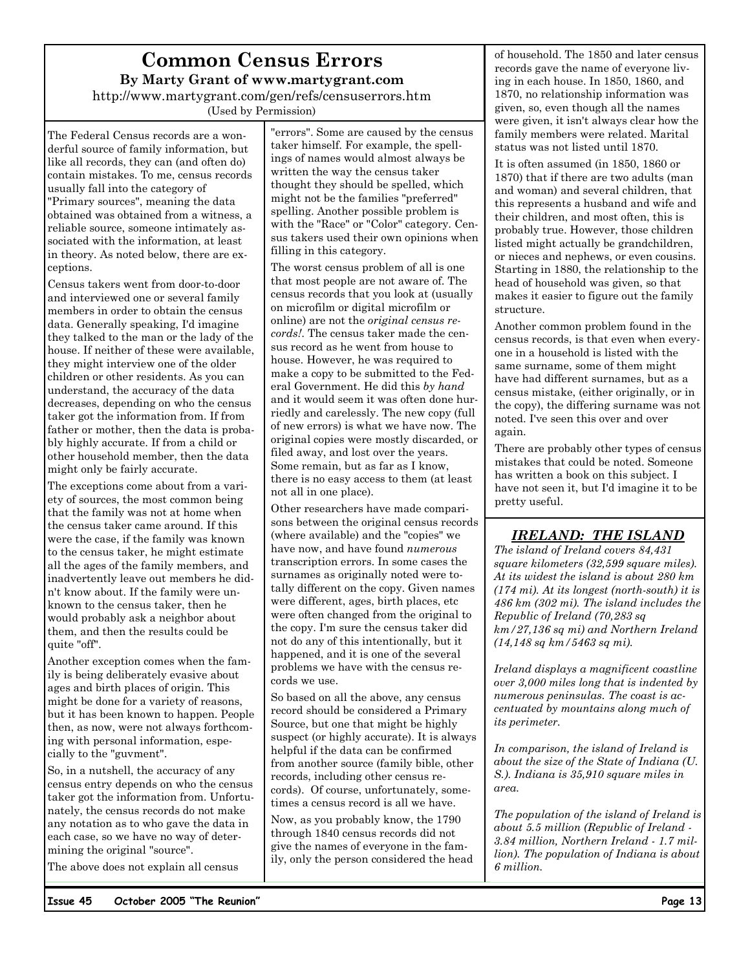# **Common Census Errors By Marty Grant of www.martygrant.com**

http://www.martygrant.com/gen/refs/censuserrors.htm (Used by Permission)

The Federal Census records are a wonderful source of family information, but like all records, they can (and often do) contain mistakes. To me, census records usually fall into the category of "Primary sources", meaning the data obtained was obtained from a witness, a reliable source, someone intimately associated with the information, at least in theory. As noted below, there are exceptions.

Census takers went from door-to-door and interviewed one or several family members in order to obtain the census data. Generally speaking, I'd imagine they talked to the man or the lady of the house. If neither of these were available, they might interview one of the older children or other residents. As you can understand, the accuracy of the data decreases, depending on who the census taker got the information from. If from father or mother, then the data is probably highly accurate. If from a child or other household member, then the data might only be fairly accurate.

The exceptions come about from a variety of sources, the most common being that the family was not at home when the census taker came around. If this were the case, if the family was known to the census taker, he might estimate all the ages of the family members, and inadvertently leave out members he didn't know about. If the family were unknown to the census taker, then he would probably ask a neighbor about them, and then the results could be quite "off".

Another exception comes when the family is being deliberately evasive about ages and birth places of origin. This might be done for a variety of reasons, but it has been known to happen. People then, as now, were not always forthcoming with personal information, especially to the "guvment".

So, in a nutshell, the accuracy of any census entry depends on who the census taker got the information from. Unfortunately, the census records do not make any notation as to who gave the data in each case, so we have no way of determining the original "source".

The above does not explain all census

"errors". Some are caused by the census taker himself. For example, the spellings of names would almost always be written the way the census taker thought they should be spelled, which might not be the families "preferred" spelling. Another possible problem is with the "Race" or "Color" category. Census takers used their own opinions when filling in this category.

The worst census problem of all is one that most people are not aware of. The census records that you look at (usually on microfilm or digital microfilm or online) are not the *original census records!*. The census taker made the census record as he went from house to house. However, he was required to make a copy to be submitted to the Federal Government. He did this *by hand* and it would seem it was often done hurriedly and carelessly. The new copy (full of new errors) is what we have now. The original copies were mostly discarded, or filed away, and lost over the years. Some remain, but as far as I know, there is no easy access to them (at least not all in one place).

Other researchers have made comparisons between the original census records (where available) and the "copies" we have now, and have found *numerous* transcription errors. In some cases the surnames as originally noted were totally different on the copy. Given names were different, ages, birth places, etc were often changed from the original to the copy. I'm sure the census taker did not do any of this intentionally, but it happened, and it is one of the several problems we have with the census records we use.

So based on all the above, any census record should be considered a Primary Source, but one that might be highly suspect (or highly accurate). It is always helpful if the data can be confirmed from another source (family bible, other records, including other census records). Of course, unfortunately, sometimes a census record is all we have.

Now, as you probably know, the 1790 through 1840 census records did not give the names of everyone in the family, only the person considered the head of household. The 1850 and later census records gave the name of everyone living in each house. In 1850, 1860, and 1870, no relationship information was given, so, even though all the names were given, it isn't always clear how the family members were related. Marital status was not listed until 1870.

It is often assumed (in 1850, 1860 or 1870) that if there are two adults (man and woman) and several children, that this represents a husband and wife and their children, and most often, this is probably true. However, those children listed might actually be grandchildren, or nieces and nephews, or even cousins. Starting in 1880, the relationship to the head of household was given, so that makes it easier to figure out the family structure.

Another common problem found in the census records, is that even when everyone in a household is listed with the same surname, some of them might have had different surnames, but as a census mistake, (either originally, or in the copy), the differing surname was not noted. I've seen this over and over again.

There are probably other types of census mistakes that could be noted. Someone has written a book on this subject. I have not seen it, but I'd imagine it to be pretty useful.

### *IRELAND: THE ISLAND*

*The island of Ireland covers 84,431 square kilometers (32,599 square miles). At its widest the island is about 280 km (174 mi). At its longest (north-south) it is 486 km (302 mi). The island includes the Republic of Ireland (70,283 sq km/27,136 sq mi) and Northern Ireland (14,148 sq km/5463 sq mi).* 

*Ireland displays a magnificent coastline over 3,000 miles long that is indented by numerous peninsulas. The coast is accentuated by mountains along much of its perimeter.* 

*In comparison, the island of Ireland is about the size of the State of Indiana (U. S.). Indiana is 35,910 square miles in area.* 

*The population of the island of Ireland is about 5.5 million (Republic of Ireland - 3.84 million, Northern Ireland - 1.7 million). The population of Indiana is about 6 million.*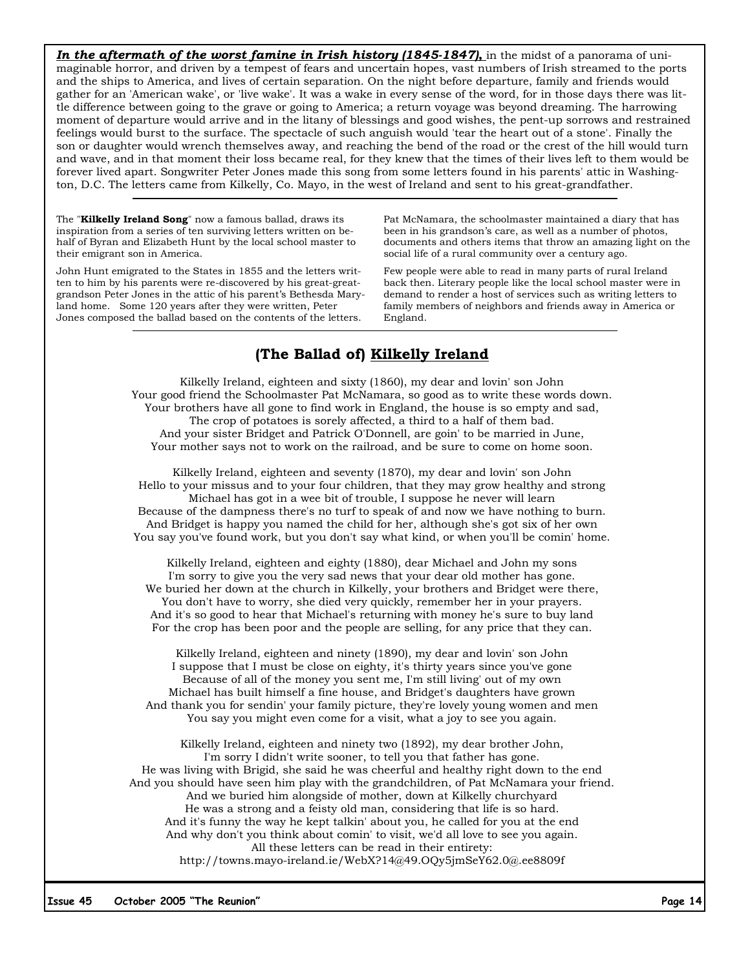**In the aftermath of the worst famine in Irish history (1845-1847),** in the midst of a panorama of unimaginable horror, and driven by a tempest of fears and uncertain hopes, vast numbers of Irish streamed to the ports and the ships to America, and lives of certain separation. On the night before departure, family and friends would gather for an 'American wake', or 'live wake'. It was a wake in every sense of the word, for in those days there was little difference between going to the grave or going to America; a return voyage was beyond dreaming. The harrowing moment of departure would arrive and in the litany of blessings and good wishes, the pent-up sorrows and restrained feelings would burst to the surface. The spectacle of such anguish would 'tear the heart out of a stone'. Finally the son or daughter would wrench themselves away, and reaching the bend of the road or the crest of the hill would turn and wave, and in that moment their loss became real, for they knew that the times of their lives left to them would be forever lived apart. Songwriter Peter Jones made this song from some letters found in his parents' attic in Washington, D.C. The letters came from Kilkelly, Co. Mayo, in the west of Ireland and sent to his great-grandfather.

The "**Kilkelly Ireland Song**" now a famous ballad, draws its inspiration from a series of ten surviving letters written on behalf of Byran and Elizabeth Hunt by the local school master to their emigrant son in America.

John Hunt emigrated to the States in 1855 and the letters written to him by his parents were re-discovered by his great-greatgrandson Peter Jones in the attic of his parent's Bethesda Maryland home. Some 120 years after they were written, Peter Jones composed the ballad based on the contents of the letters.

Pat McNamara, the schoolmaster maintained a diary that has been in his grandson's care, as well as a number of photos, documents and others items that throw an amazing light on the social life of a rural community over a century ago.

Few people were able to read in many parts of rural Ireland back then. Literary people like the local school master were in demand to render a host of services such as writing letters to family members of neighbors and friends away in America or England.

### **(The Ballad of) Kilkelly Ireland**

Kilkelly Ireland, eighteen and sixty (1860), my dear and lovin' son John Your good friend the Schoolmaster Pat McNamara, so good as to write these words down. Your brothers have all gone to find work in England, the house is so empty and sad, The crop of potatoes is sorely affected, a third to a half of them bad. And your sister Bridget and Patrick O'Donnell, are goin' to be married in June, Your mother says not to work on the railroad, and be sure to come on home soon.

Kilkelly Ireland, eighteen and seventy (1870), my dear and lovin' son John Hello to your missus and to your four children, that they may grow healthy and strong Michael has got in a wee bit of trouble, I suppose he never will learn Because of the dampness there's no turf to speak of and now we have nothing to burn. And Bridget is happy you named the child for her, although she's got six of her own You say you've found work, but you don't say what kind, or when you'll be comin' home.

Kilkelly Ireland, eighteen and eighty (1880), dear Michael and John my sons I'm sorry to give you the very sad news that your dear old mother has gone. We buried her down at the church in Kilkelly, your brothers and Bridget were there, You don't have to worry, she died very quickly, remember her in your prayers. And it's so good to hear that Michael's returning with money he's sure to buy land For the crop has been poor and the people are selling, for any price that they can.

Kilkelly Ireland, eighteen and ninety (1890), my dear and lovin' son John I suppose that I must be close on eighty, it's thirty years since you've gone Because of all of the money you sent me, I'm still living' out of my own Michael has built himself a fine house, and Bridget's daughters have grown And thank you for sendin' your family picture, they're lovely young women and men You say you might even come for a visit, what a joy to see you again.

Kilkelly Ireland, eighteen and ninety two (1892), my dear brother John, I'm sorry I didn't write sooner, to tell you that father has gone. He was living with Brigid, she said he was cheerful and healthy right down to the end And you should have seen him play with the grandchildren, of Pat McNamara your friend. And we buried him alongside of mother, down at Kilkelly churchyard He was a strong and a feisty old man, considering that life is so hard. And it's funny the way he kept talkin' about you, he called for you at the end And why don't you think about comin' to visit, we'd all love to see you again. All these letters can be read in their entirety: http://towns.mayo-ireland.ie/WebX?14@49.OQy5jmSeY62.0@.ee8809f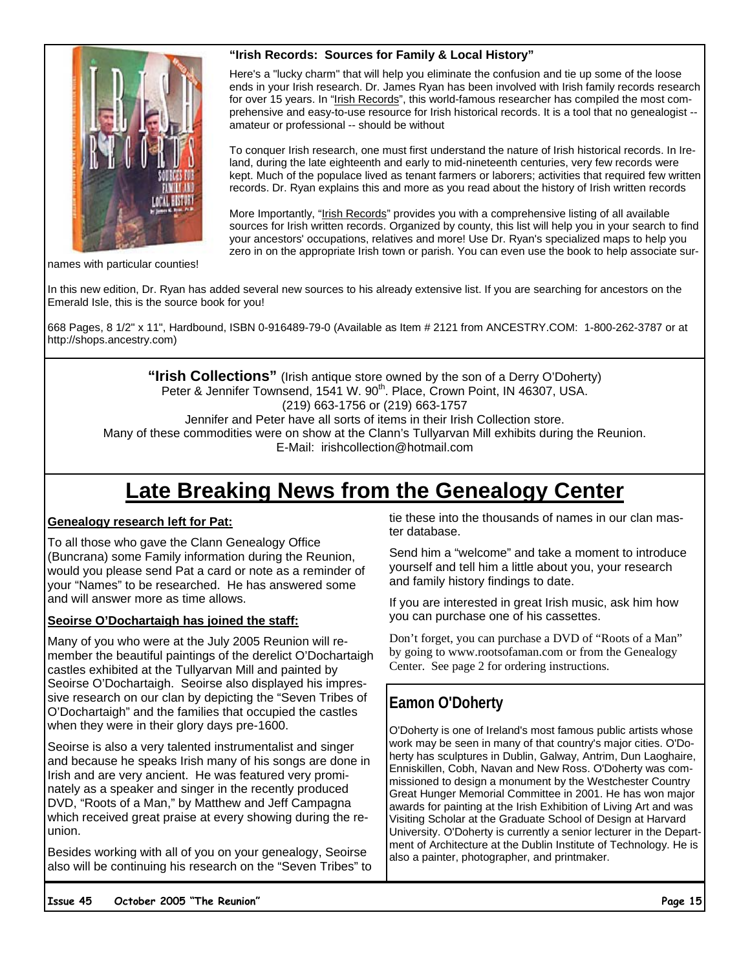### **"Irish Records: Sources for Family & Local History"**



Here's a "lucky charm" that will help you eliminate the confusion and tie up some of the loose ends in your Irish research. Dr. James Ryan has been involved with Irish family records research for over 15 years. In "Irish Records", this world-famous researcher has compiled the most comprehensive and easy-to-use resource for Irish historical records. It is a tool that no genealogist - amateur or professional -- should be without

To conquer Irish research, one must first understand the nature of Irish historical records. In Ireland, during the late eighteenth and early to mid-nineteenth centuries, very few records were kept. Much of the populace lived as tenant farmers or laborers; activities that required few written records. Dr. Ryan explains this and more as you read about the history of Irish written records

More Importantly, "Irish Records" provides you with a comprehensive listing of all available sources for Irish written records. Organized by county, this list will help you in your search to find your ancestors' occupations, relatives and more! Use Dr. Ryan's specialized maps to help you zero in on the appropriate Irish town or parish. You can even use the book to help associate sur-

names with particular counties!

In this new edition, Dr. Ryan has added several new sources to his already extensive list. If you are searching for ancestors on the Emerald Isle, this is the source book for you!

668 Pages, 8 1/2" x 11", Hardbound, ISBN 0-916489-79-0 (Available as Item # 2121 from ANCESTRY.COM: 1-800-262-3787 or at http://shops.ancestry.com)

**"Irish Collections"** (Irish antique store owned by the son of a Derry O'Doherty) Peter & Jennifer Townsend, 1541 W. 90<sup>th</sup>. Place, Crown Point, IN 46307, USA. (219) 663-1756 or (219) 663-1757 Jennifer and Peter have all sorts of items in their Irish Collection store. Many of these commodities were on show at the Clann's Tullyarvan Mill exhibits during the Reunion. E-Mail: irishcollection@hotmail.com

# **Late Breaking News from the Genealogy Center**

### **Genealogy research left for Pat:**

To all those who gave the Clann Genealogy Office (Buncrana) some Family information during the Reunion, would you please send Pat a card or note as a reminder of your "Names" to be researched. He has answered some and will answer more as time allows.

### **Seoirse O'Dochartaigh has joined the staff:**

Many of you who were at the July 2005 Reunion will remember the beautiful paintings of the derelict O'Dochartaigh castles exhibited at the Tullyarvan Mill and painted by Seoirse O'Dochartaigh. Seoirse also displayed his impressive research on our clan by depicting the "Seven Tribes of O'Dochartaigh" and the families that occupied the castles when they were in their glory days pre-1600.

Seoirse is also a very talented instrumentalist and singer and because he speaks Irish many of his songs are done in Irish and are very ancient. He was featured very prominately as a speaker and singer in the recently produced DVD, "Roots of a Man," by Matthew and Jeff Campagna which received great praise at every showing during the reunion.

Besides working with all of you on your genealogy, Seoirse also will be continuing his research on the "Seven Tribes" to tie these into the thousands of names in our clan master database.

Send him a "welcome" and take a moment to introduce yourself and tell him a little about you, your research and family history findings to date.

If you are interested in great Irish music, ask him how you can purchase one of his cassettes.

Don't forget, you can purchase a DVD of "Roots of a Man" by going to www.rootsofaman.com or from the Genealogy Center. See page 2 for ordering instructions.

### **Eamon O'Doherty**

O'Doherty is one of Ireland's most famous public artists whose work may be seen in many of that country's major cities. O'Doherty has sculptures in Dublin, Galway, Antrim, Dun Laoghaire, Enniskillen, Cobh, Navan and New Ross. O'Doherty was commissioned to design a monument by the Westchester Country Great Hunger Memorial Committee in 2001. He has won major awards for painting at the Irish Exhibition of Living Art and was Visiting Scholar at the Graduate School of Design at Harvard University. O'Doherty is currently a senior lecturer in the Department of Architecture at the Dublin Institute of Technology. He is also a painter, photographer, and printmaker.